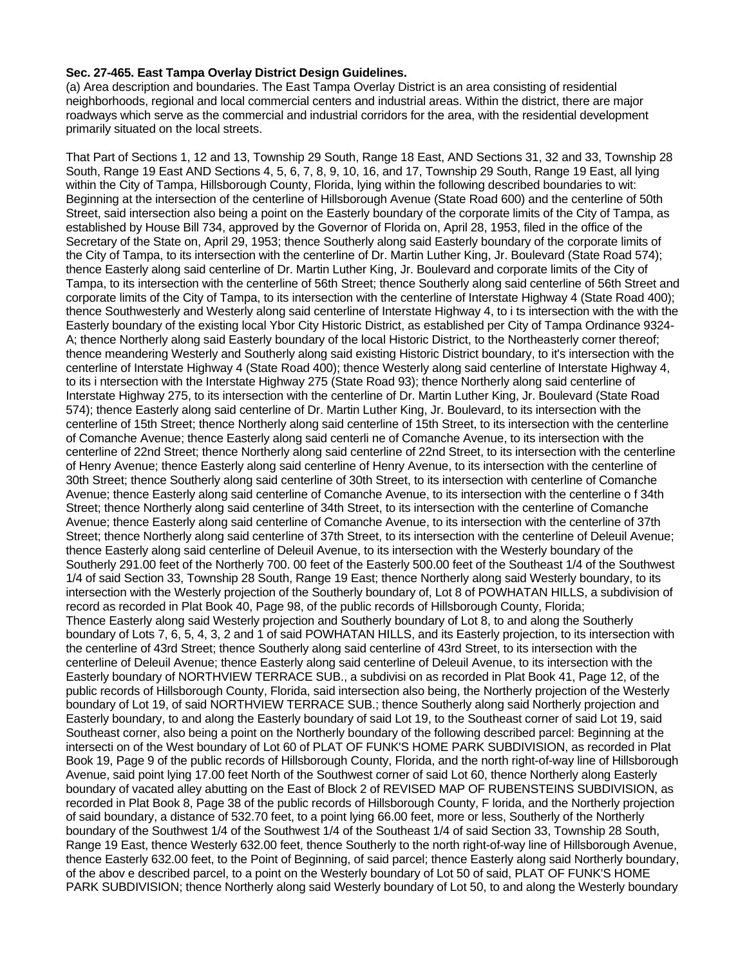## **Sec. 27-465. East Tampa Overlay District Design Guidelines.**

(a) Area description and boundaries. The East Tampa Overlay District is an area consisting of residential neighborhoods, regional and local commercial centers and industrial areas. Within the district, there are major roadways which serve as the commercial and industrial corridors for the area, with the residential development primarily situated on the local streets.

That Part of Sections 1, 12 and 13, Township 29 South, Range 18 East, AND Sections 31, 32 and 33, Township 28 South, Range 19 East AND Sections 4, 5, 6, 7, 8, 9, 10, 16, and 17, Township 29 South, Range 19 East, all lying within the City of Tampa, Hillsborough County, Florida, lying within the following described boundaries to wit: Beginning at the intersection of the centerline of Hillsborough Avenue (State Road 600) and the centerline of 50th Street, said intersection also being a point on the Easterly boundary of the corporate limits of the City of Tampa, as established by House Bill 734, approved by the Governor of Florida on, April 28, 1953, filed in the office of the Secretary of the State on, April 29, 1953; thence Southerly along said Easterly boundary of the corporate limits of the City of Tampa, to its intersection with the centerline of Dr. Martin Luther King, Jr. Boulevard (State Road 574); thence Easterly along said centerline of Dr. Martin Luther King, Jr. Boulevard and corporate limits of the City of Tampa, to its intersection with the centerline of 56th Street; thence Southerly along said centerline of 56th Street and corporate limits of the City of Tampa, to its intersection with the centerline of Interstate Highway 4 (State Road 400); thence Southwesterly and Westerly along said centerline of Interstate Highway 4, to i ts intersection with the with the Easterly boundary of the existing local Ybor City Historic District, as established per City of Tampa Ordinance 9324- A; thence Northerly along said Easterly boundary of the local Historic District, to the Northeasterly corner thereof; thence meandering Westerly and Southerly along said existing Historic District boundary, to it's intersection with the centerline of Interstate Highway 4 (State Road 400); thence Westerly along said centerline of Interstate Highway 4, to its i ntersection with the Interstate Highway 275 (State Road 93); thence Northerly along said centerline of Interstate Highway 275, to its intersection with the centerline of Dr. Martin Luther King, Jr. Boulevard (State Road 574); thence Easterly along said centerline of Dr. Martin Luther King, Jr. Boulevard, to its intersection with the centerline of 15th Street; thence Northerly along said centerline of 15th Street, to its intersection with the centerline of Comanche Avenue; thence Easterly along said centerli ne of Comanche Avenue, to its intersection with the centerline of 22nd Street; thence Northerly along said centerline of 22nd Street, to its intersection with the centerline of Henry Avenue; thence Easterly along said centerline of Henry Avenue, to its intersection with the centerline of 30th Street; thence Southerly along said centerline of 30th Street, to its intersection with centerline of Comanche Avenue; thence Easterly along said centerline of Comanche Avenue, to its intersection with the centerline o f 34th Street; thence Northerly along said centerline of 34th Street, to its intersection with the centerline of Comanche Avenue; thence Easterly along said centerline of Comanche Avenue, to its intersection with the centerline of 37th Street; thence Northerly along said centerline of 37th Street, to its intersection with the centerline of Deleuil Avenue; thence Easterly along said centerline of Deleuil Avenue, to its intersection with the Westerly boundary of the Southerly 291.00 feet of the Northerly 700. 00 feet of the Easterly 500.00 feet of the Southeast 1/4 of the Southwest 1/4 of said Section 33, Township 28 South, Range 19 East; thence Northerly along said Westerly boundary, to its intersection with the Westerly projection of the Southerly boundary of, Lot 8 of POWHATAN HILLS, a subdivision of record as recorded in Plat Book 40, Page 98, of the public records of Hillsborough County, Florida; Thence Easterly along said Westerly projection and Southerly boundary of Lot 8, to and along the Southerly boundary of Lots 7, 6, 5, 4, 3, 2 and 1 of said POWHATAN HILLS, and its Easterly projection, to its intersection with the centerline of 43rd Street; thence Southerly along said centerline of 43rd Street, to its intersection with the centerline of Deleuil Avenue; thence Easterly along said centerline of Deleuil Avenue, to its intersection with the Easterly boundary of NORTHVIEW TERRACE SUB., a subdivisi on as recorded in Plat Book 41, Page 12, of the public records of Hillsborough County, Florida, said intersection also being, the Northerly projection of the Westerly boundary of Lot 19, of said NORTHVIEW TERRACE SUB.; thence Southerly along said Northerly projection and Easterly boundary, to and along the Easterly boundary of said Lot 19, to the Southeast corner of said Lot 19, said Southeast corner, also being a point on the Northerly boundary of the following described parcel: Beginning at the intersecti on of the West boundary of Lot 60 of PLAT OF FUNK'S HOME PARK SUBDIVISION, as recorded in Plat Book 19, Page 9 of the public records of Hillsborough County, Florida, and the north right-of-way line of Hillsborough Avenue, said point lying 17.00 feet North of the Southwest corner of said Lot 60, thence Northerly along Easterly boundary of vacated alley abutting on the East of Block 2 of REVISED MAP OF RUBENSTEINS SUBDIVISION, as recorded in Plat Book 8, Page 38 of the public records of Hillsborough County, F lorida, and the Northerly projection of said boundary, a distance of 532.70 feet, to a point lying 66.00 feet, more or less, Southerly of the Northerly boundary of the Southwest 1/4 of the Southwest 1/4 of the Southeast 1/4 of said Section 33, Township 28 South, Range 19 East, thence Westerly 632.00 feet, thence Southerly to the north right-of-way line of Hillsborough Avenue, thence Easterly 632.00 feet, to the Point of Beginning, of said parcel; thence Easterly along said Northerly boundary, of the abov e described parcel, to a point on the Westerly boundary of Lot 50 of said, PLAT OF FUNK'S HOME PARK SUBDIVISION; thence Northerly along said Westerly boundary of Lot 50, to and along the Westerly boundary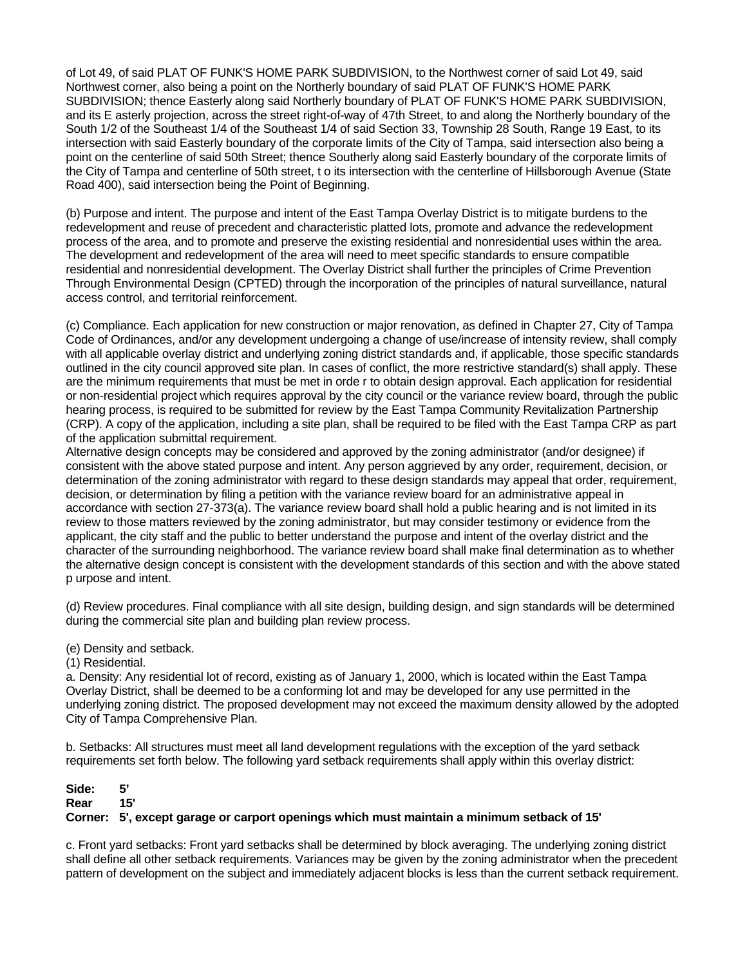of Lot 49, of said PLAT OF FUNK'S HOME PARK SUBDIVISION, to the Northwest corner of said Lot 49, said Northwest corner, also being a point on the Northerly boundary of said PLAT OF FUNK'S HOME PARK SUBDIVISION; thence Easterly along said Northerly boundary of PLAT OF FUNK'S HOME PARK SUBDIVISION, and its E asterly projection, across the street right-of-way of 47th Street, to and along the Northerly boundary of the South 1/2 of the Southeast 1/4 of the Southeast 1/4 of said Section 33, Township 28 South, Range 19 East, to its intersection with said Easterly boundary of the corporate limits of the City of Tampa, said intersection also being a point on the centerline of said 50th Street; thence Southerly along said Easterly boundary of the corporate limits of the City of Tampa and centerline of 50th street, t o its intersection with the centerline of Hillsborough Avenue (State Road 400), said intersection being the Point of Beginning.

(b) Purpose and intent. The purpose and intent of the East Tampa Overlay District is to mitigate burdens to the redevelopment and reuse of precedent and characteristic platted lots, promote and advance the redevelopment process of the area, and to promote and preserve the existing residential and nonresidential uses within the area. The development and redevelopment of the area will need to meet specific standards to ensure compatible residential and nonresidential development. The Overlay District shall further the principles of Crime Prevention Through Environmental Design (CPTED) through the incorporation of the principles of natural surveillance, natural access control, and territorial reinforcement.

(c) Compliance. Each application for new construction or major renovation, as defined in Chapter 27, City of Tampa Code of Ordinances, and/or any development undergoing a change of use/increase of intensity review, shall comply with all applicable overlay district and underlying zoning district standards and, if applicable, those specific standards outlined in the city council approved site plan. In cases of conflict, the more restrictive standard(s) shall apply. These are the minimum requirements that must be met in orde r to obtain design approval. Each application for residential or non-residential project which requires approval by the city council or the variance review board, through the public hearing process, is required to be submitted for review by the East Tampa Community Revitalization Partnership (CRP). A copy of the application, including a site plan, shall be required to be filed with the East Tampa CRP as part of the application submittal requirement.

Alternative design concepts may be considered and approved by the zoning administrator (and/or designee) if consistent with the above stated purpose and intent. Any person aggrieved by any order, requirement, decision, or determination of the zoning administrator with regard to these design standards may appeal that order, requirement, decision, or determination by filing a petition with the variance review board for an administrative appeal in accordance with section 27-373(a). The variance review board shall hold a public hearing and is not limited in its review to those matters reviewed by the zoning administrator, but may consider testimony or evidence from the applicant, the city staff and the public to better understand the purpose and intent of the overlay district and the character of the surrounding neighborhood. The variance review board shall make final determination as to whether the alternative design concept is consistent with the development standards of this section and with the above stated p urpose and intent.

(d) Review procedures. Final compliance with all site design, building design, and sign standards will be determined during the commercial site plan and building plan review process.

(e) Density and setback.

(1) Residential.

a. Density: Any residential lot of record, existing as of January 1, 2000, which is located within the East Tampa Overlay District, shall be deemed to be a conforming lot and may be developed for any use permitted in the underlying zoning district. The proposed development may not exceed the maximum density allowed by the adopted City of Tampa Comprehensive Plan.

b. Setbacks: All structures must meet all land development regulations with the exception of the yard setback requirements set forth below. The following yard setback requirements shall apply within this overlay district:

## **Side: 5' Rear 15' Corner: 5', except garage or carport openings which must maintain a minimum setback of 15'**

c. Front yard setbacks: Front yard setbacks shall be determined by block averaging. The underlying zoning district shall define all other setback requirements. Variances may be given by the zoning administrator when the precedent pattern of development on the subject and immediately adjacent blocks is less than the current setback requirement.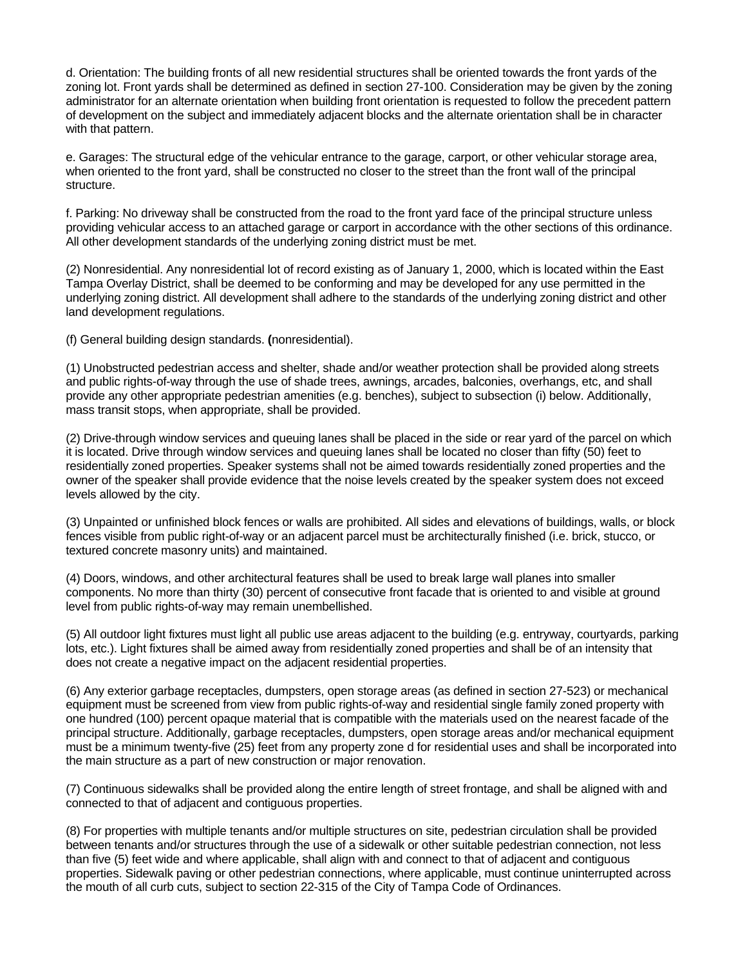d. Orientation: The building fronts of all new residential structures shall be oriented towards the front yards of the zoning lot. Front yards shall be determined as defined in section 27-100. Consideration may be given by the zoning administrator for an alternate orientation when building front orientation is requested to follow the precedent pattern of development on the subject and immediately adjacent blocks and the alternate orientation shall be in character with that pattern.

e. Garages: The structural edge of the vehicular entrance to the garage, carport, or other vehicular storage area, when oriented to the front yard, shall be constructed no closer to the street than the front wall of the principal structure.

f. Parking: No driveway shall be constructed from the road to the front yard face of the principal structure unless providing vehicular access to an attached garage or carport in accordance with the other sections of this ordinance. All other development standards of the underlying zoning district must be met.

(2) Nonresidential. Any nonresidential lot of record existing as of January 1, 2000, which is located within the East Tampa Overlay District, shall be deemed to be conforming and may be developed for any use permitted in the underlying zoning district. All development shall adhere to the standards of the underlying zoning district and other land development regulations.

(f) General building design standards. **(**nonresidential).

(1) Unobstructed pedestrian access and shelter, shade and/or weather protection shall be provided along streets and public rights-of-way through the use of shade trees, awnings, arcades, balconies, overhangs, etc, and shall provide any other appropriate pedestrian amenities (e.g. benches), subject to subsection (i) below. Additionally, mass transit stops, when appropriate, shall be provided.

(2) Drive-through window services and queuing lanes shall be placed in the side or rear yard of the parcel on which it is located. Drive through window services and queuing lanes shall be located no closer than fifty (50) feet to residentially zoned properties. Speaker systems shall not be aimed towards residentially zoned properties and the owner of the speaker shall provide evidence that the noise levels created by the speaker system does not exceed levels allowed by the city.

(3) Unpainted or unfinished block fences or walls are prohibited. All sides and elevations of buildings, walls, or block fences visible from public right-of-way or an adjacent parcel must be architecturally finished (i.e. brick, stucco, or textured concrete masonry units) and maintained.

(4) Doors, windows, and other architectural features shall be used to break large wall planes into smaller components. No more than thirty (30) percent of consecutive front facade that is oriented to and visible at ground level from public rights-of-way may remain unembellished.

(5) All outdoor light fixtures must light all public use areas adjacent to the building (e.g. entryway, courtyards, parking lots, etc.). Light fixtures shall be aimed away from residentially zoned properties and shall be of an intensity that does not create a negative impact on the adjacent residential properties.

(6) Any exterior garbage receptacles, dumpsters, open storage areas (as defined in section 27-523) or mechanical equipment must be screened from view from public rights-of-way and residential single family zoned property with one hundred (100) percent opaque material that is compatible with the materials used on the nearest facade of the principal structure. Additionally, garbage receptacles, dumpsters, open storage areas and/or mechanical equipment must be a minimum twenty-five (25) feet from any property zone d for residential uses and shall be incorporated into the main structure as a part of new construction or major renovation.

(7) Continuous sidewalks shall be provided along the entire length of street frontage, and shall be aligned with and connected to that of adjacent and contiguous properties.

(8) For properties with multiple tenants and/or multiple structures on site, pedestrian circulation shall be provided between tenants and/or structures through the use of a sidewalk or other suitable pedestrian connection, not less than five (5) feet wide and where applicable, shall align with and connect to that of adjacent and contiguous properties. Sidewalk paving or other pedestrian connections, where applicable, must continue uninterrupted across the mouth of all curb cuts, subject to section 22-315 of the City of Tampa Code of Ordinances.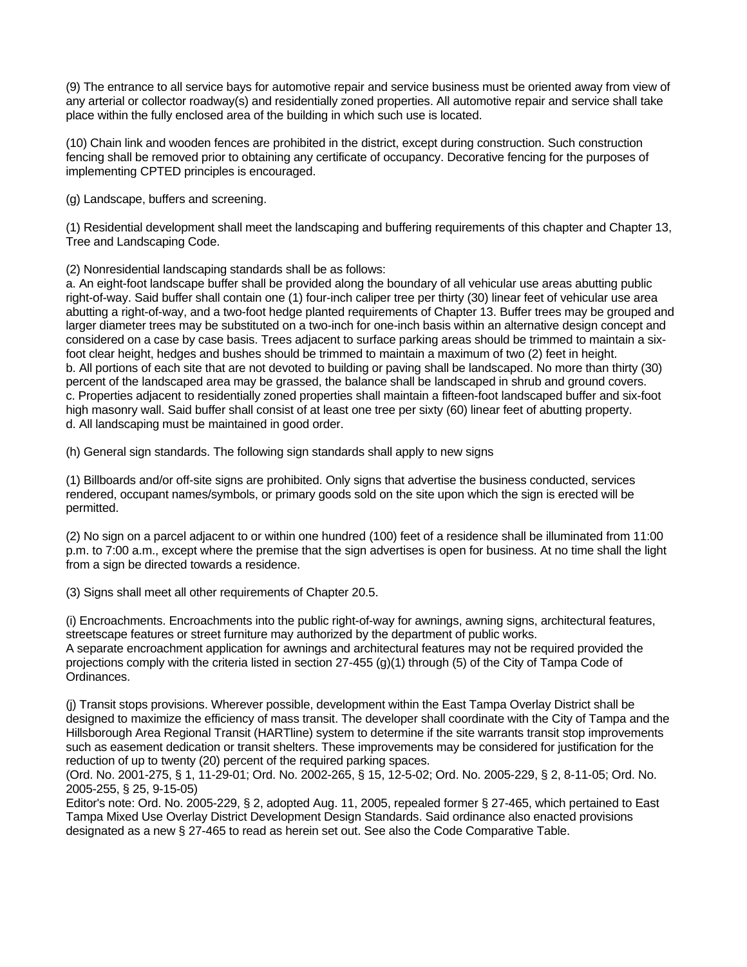(9) The entrance to all service bays for automotive repair and service business must be oriented away from view of any arterial or collector roadway(s) and residentially zoned properties. All automotive repair and service shall take place within the fully enclosed area of the building in which such use is located.

(10) Chain link and wooden fences are prohibited in the district, except during construction. Such construction fencing shall be removed prior to obtaining any certificate of occupancy. Decorative fencing for the purposes of implementing CPTED principles is encouraged.

(g) Landscape, buffers and screening.

(1) Residential development shall meet the landscaping and buffering requirements of this chapter and Chapter 13, Tree and Landscaping Code.

(2) Nonresidential landscaping standards shall be as follows:

a. An eight-foot landscape buffer shall be provided along the boundary of all vehicular use areas abutting public right-of-way. Said buffer shall contain one (1) four-inch caliper tree per thirty (30) linear feet of vehicular use area abutting a right-of-way, and a two-foot hedge planted requirements of Chapter 13. Buffer trees may be grouped and larger diameter trees may be substituted on a two-inch for one-inch basis within an alternative design concept and considered on a case by case basis. Trees adjacent to surface parking areas should be trimmed to maintain a sixfoot clear height, hedges and bushes should be trimmed to maintain a maximum of two (2) feet in height. b. All portions of each site that are not devoted to building or paving shall be landscaped. No more than thirty (30) percent of the landscaped area may be grassed, the balance shall be landscaped in shrub and ground covers. c. Properties adjacent to residentially zoned properties shall maintain a fifteen-foot landscaped buffer and six-foot high masonry wall. Said buffer shall consist of at least one tree per sixty (60) linear feet of abutting property. d. All landscaping must be maintained in good order.

(h) General sign standards. The following sign standards shall apply to new signs

(1) Billboards and/or off-site signs are prohibited. Only signs that advertise the business conducted, services rendered, occupant names/symbols, or primary goods sold on the site upon which the sign is erected will be permitted.

(2) No sign on a parcel adjacent to or within one hundred (100) feet of a residence shall be illuminated from 11:00 p.m. to 7:00 a.m., except where the premise that the sign advertises is open for business. At no time shall the light from a sign be directed towards a residence.

(3) Signs shall meet all other requirements of Chapter 20.5.

(i) Encroachments. Encroachments into the public right-of-way for awnings, awning signs, architectural features, streetscape features or street furniture may authorized by the department of public works. A separate encroachment application for awnings and architectural features may not be required provided the projections comply with the criteria listed in section 27-455 (g)(1) through (5) of the City of Tampa Code of Ordinances.

(j) Transit stops provisions. Wherever possible, development within the East Tampa Overlay District shall be designed to maximize the efficiency of mass transit. The developer shall coordinate with the City of Tampa and the Hillsborough Area Regional Transit (HARTline) system to determine if the site warrants transit stop improvements such as easement dedication or transit shelters. These improvements may be considered for justification for the reduction of up to twenty (20) percent of the required parking spaces.

(Ord. No. 2001-275, § 1, 11-29-01; Ord. No. 2002-265, § 15, 12-5-02; Ord. No. 2005-229, § 2, 8-11-05; Ord. No. 2005-255, § 25, 9-15-05)

Editor's note: Ord. No. 2005-229, § 2, adopted Aug. 11, 2005, repealed former § 27-465, which pertained to East Tampa Mixed Use Overlay District Development Design Standards. Said ordinance also enacted provisions designated as a new § 27-465 to read as herein set out. See also the Code Comparative Table.